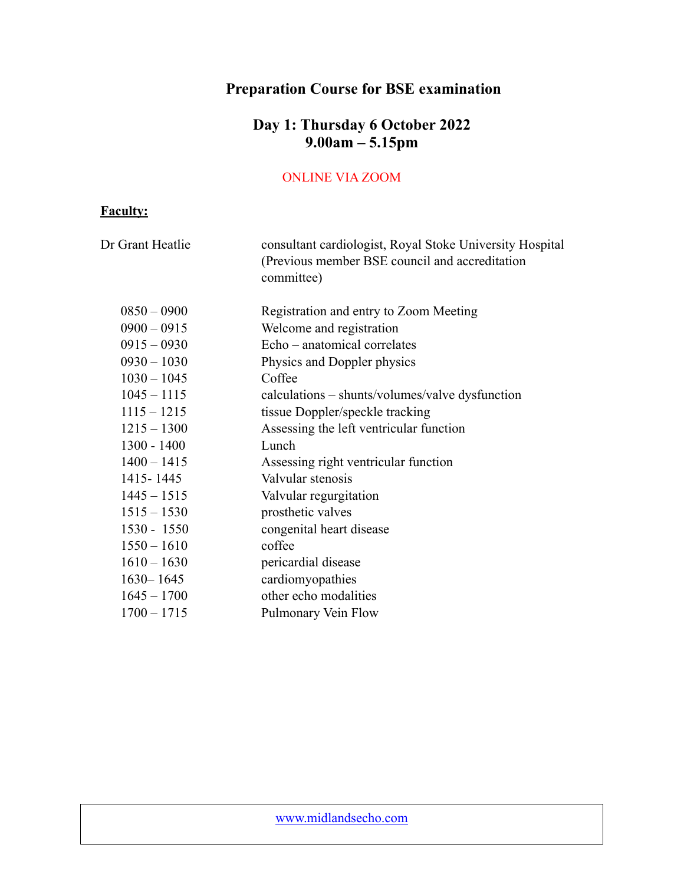# **Preparation Course for BSE examination**

### **Day 1: Thursday 6 October 2022 9.00am – 5.15pm**

#### ONLINE VIA ZOOM

### **Faculty:**

| Dr Grant Heatlie | consultant cardiologist, Royal Stoke University Hospital<br>(Previous member BSE council and accreditation<br>committee) |
|------------------|--------------------------------------------------------------------------------------------------------------------------|
| $0850 - 0900$    | Registration and entry to Zoom Meeting                                                                                   |
| $0900 - 0915$    | Welcome and registration                                                                                                 |
| $0915 - 0930$    | Echo – anatomical correlates                                                                                             |
| $0930 - 1030$    | Physics and Doppler physics                                                                                              |
| $1030 - 1045$    | Coffee                                                                                                                   |
| $1045 - 1115$    | calculations – shunts/volumes/valve dysfunction                                                                          |
| $1115 - 1215$    | tissue Doppler/speckle tracking                                                                                          |
| $1215 - 1300$    | Assessing the left ventricular function                                                                                  |
| 1300 - 1400      | Lunch                                                                                                                    |
| $1400 - 1415$    | Assessing right ventricular function                                                                                     |
| 1415 - 1445      | Valvular stenosis                                                                                                        |
| $1445 - 1515$    | Valvular regurgitation                                                                                                   |
| $1515 - 1530$    | prosthetic valves                                                                                                        |
| $1530 - 1550$    | congenital heart disease                                                                                                 |
| $1550 - 1610$    | coffee                                                                                                                   |
| $1610 - 1630$    | pericardial disease                                                                                                      |
| $1630 - 1645$    | cardiomyopathies                                                                                                         |
| $1645 - 1700$    | other echo modalities                                                                                                    |
| $1700 - 1715$    | Pulmonary Vein Flow                                                                                                      |